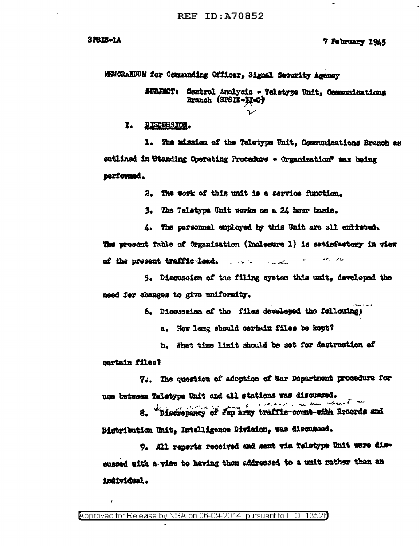**SPS1S-1A** 

#### 7 February 1945

MENCHANDUM for Commanding Officer. Signal Security Agency

SUBJECT: Control Analysis - Teletype Unit. Communications Branch (SPSIE-M-C)

DISCUSSION. I.

1. The mission of the Teletype Unit, Communications Branch as outlined in Standing Operating Procedure - Organization" was being parformed.

2. The work of this unit is a service function.

3. The Teletype Unit works on a 24 hour basis.

4. The personnel employed by this Unit are all embirated. The present Table of Organization (Inclosure 1) is satisfactory in view of the present traffic-lead.  $\qquad \qquad$ 

5. Discussion of the filing system this unit, developed the need for changes to give uniformity.

6. Discussion of the files developed the following:

a. How long should certain files be kept?

b. What time limit should be set for destruction of

cartain files?

7. The question of adoption of War Department procedure for use between Teletype Unit and all stations was discussed.

continued and measured Discrepancy of dap Army traffic count with Records and s. Distribution Unit, Intelligence Division, was discussed.

9. All reports received and sant via Teletype Unit were discussed with a view to having them addressed to a unit rather than an individual.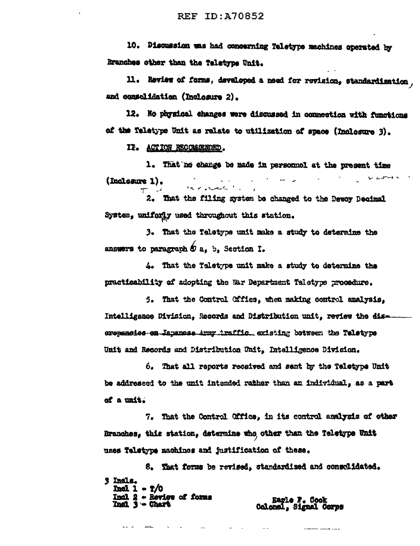10. Discussion was had concerning Teletype machines operated by Branches other than the Teletype Unit.

11. Review of forms, developed a med for revision, standardination. and consolidation (Inclosure 2).

12. No physical changes were discussed in connection with functions of the Teletype Unit as relate to utilization of space (Inclosure 3).

II. ACTION RECOMMENDED.

1. That no change be made in personnel at the present time **Wednes** (Incleasure 1). by maxwaster the

2. That the filing system be changed to the Dewey Becimal System, uniforly used throughout this station.

3. That the Teletype unit make a study to determine the answers to paragraph  $\Phi$  a. b. Section I.

4. That the Taletype unit make a study to determine the practicability of adopting the War Department Teletype procedure.

5. That the Control Office, when making control analysis. Intelligence Division, Records and Distribution unit, review the diserspaneies en Japanese Army traffic, existing between the Teletype Unit and Records and Distribution Unit. Intelligence Division.

6. That all reports received and sent by the Teletype Unit be addressed to the unit intended rather than an individual, as a part of a unit.

7. That the Control Office, in its control analysis of other Branches, this station, determine who other than the Teletype Unit uses Teletype machines and justification of these.

8. That forms be revised, standardized and consolidated. 3 Insla. **Incl 1 - 7/0** Incl 2 - Review of forms<br>Incl 3 - Chart Earle F. Cook<br>Colonal, Signal Corps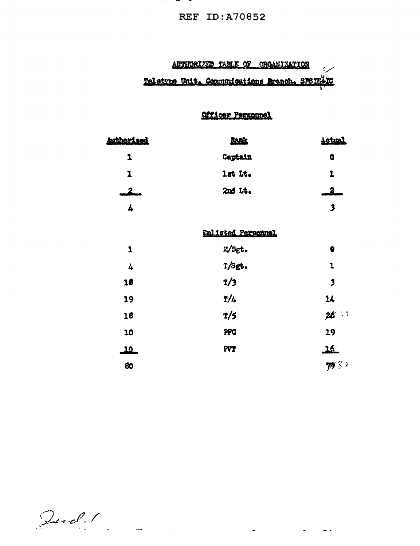## **REF ID:A70852**

## AUTHORIZED TABLE OF ORGANIZATION سربة Teletvue Unit, Communications Branch, SPSIE XC

# Officer Personnel

| <b>Authorized</b> | <b>Rank</b>        | <u>Actual</u>              |
|-------------------|--------------------|----------------------------|
| 1                 | Captain            | 0                          |
| 1                 | lat Lt.            | 1                          |
| _2__              | 2nd Lt.            | 2.                         |
| 4                 |                    | $\overline{\mathbf{3}}$    |
|                   | Enlisted Personnel |                            |
| $\mathbf{1}$      | E/Sgt.             | 0                          |
| 4                 | T/Sgt.             | 1                          |
| 18                | T/3                | $\overline{\mathbf{3}}$    |
| 19                | T/4                | $\boldsymbol{\mathsf{14}}$ |
| 18                | T/5                | 26:1                       |
| 10                | PFC                | 19                         |
| <u>10</u>         | <b>FVT</b>         | <u>گلہ</u>                 |
| 80                |                    | $\mathcal{B}$ 3)           |

 $\frac{1}{2} \frac{d\mathbf{r}}{d\mathbf{r}}$  , where  $\mathbf{r}$  is the  $\mathbf{r}$  -dimension of the  $\mathbf{r}$ 

 $\alpha = 1, \ldots, \alpha$  .

Jud. 1